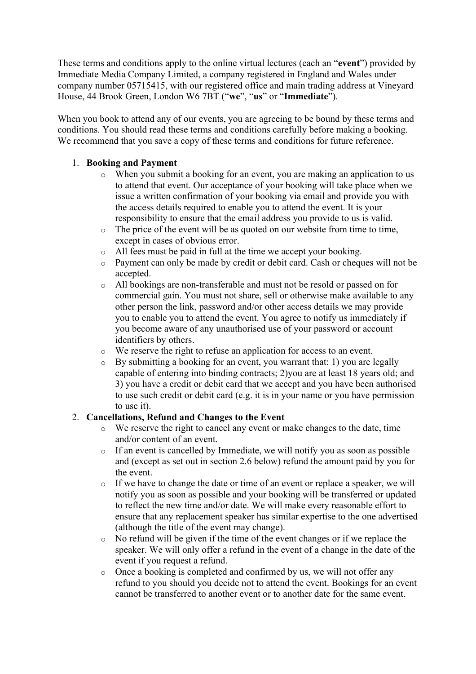These terms and conditions apply to the online virtual lectures (each an "**event**") provided by Immediate Media Company Limited, a company registered in England and Wales under company number 05715415, with our registered office and main trading address at Vineyard House, 44 Brook Green, London W6 7BT ("**we**", "**us**" or "**Immediate**").

When you book to attend any of our events, you are agreeing to be bound by these terms and conditions. You should read these terms and conditions carefully before making a booking. We recommend that you save a copy of these terms and conditions for future reference.

#### 1. **Booking and Payment**

- o When you submit a booking for an event, you are making an application to us to attend that event. Our acceptance of your booking will take place when we issue a written confirmation of your booking via email and provide you with the access details required to enable you to attend the event. It is your responsibility to ensure that the email address you provide to us is valid.
- o The price of the event will be as quoted on our website from time to time, except in cases of obvious error.
- o All fees must be paid in full at the time we accept your booking.
- o Payment can only be made by credit or debit card. Cash or cheques will not be accepted.
- o All bookings are non-transferable and must not be resold or passed on for commercial gain. You must not share, sell or otherwise make available to any other person the link, password and/or other access details we may provide you to enable you to attend the event. You agree to notify us immediately if you become aware of any unauthorised use of your password or account identifiers by others.
- o We reserve the right to refuse an application for access to an event.
- o By submitting a booking for an event, you warrant that: 1) you are legally capable of entering into binding contracts; 2)you are at least 18 years old; and 3) you have a credit or debit card that we accept and you have been authorised to use such credit or debit card (e.g. it is in your name or you have permission to use it).

#### 2. **Cancellations, Refund and Changes to the Event**

- o We reserve the right to cancel any event or make changes to the date, time and/or content of an event.
- o If an event is cancelled by Immediate, we will notify you as soon as possible and (except as set out in section 2.6 below) refund the amount paid by you for the event.
- o If we have to change the date or time of an event or replace a speaker, we will notify you as soon as possible and your booking will be transferred or updated to reflect the new time and/or date. We will make every reasonable effort to ensure that any replacement speaker has similar expertise to the one advertised (although the title of the event may change).
- o No refund will be given if the time of the event changes or if we replace the speaker. We will only offer a refund in the event of a change in the date of the event if you request a refund.
- o Once a booking is completed and confirmed by us, we will not offer any refund to you should you decide not to attend the event. Bookings for an event cannot be transferred to another event or to another date for the same event.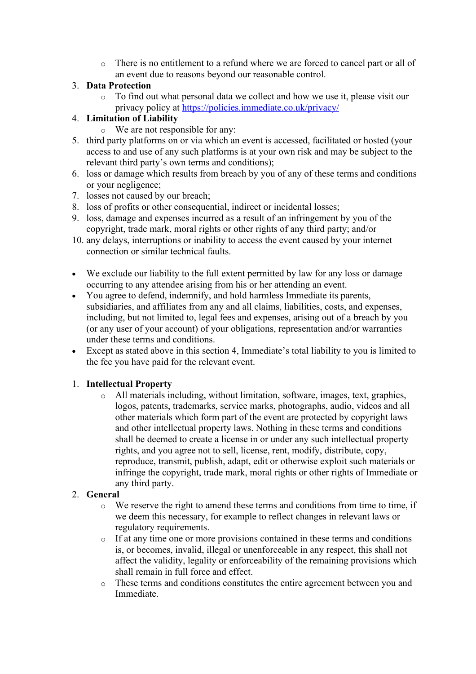o There is no entitlement to a refund where we are forced to cancel part or all of an event due to reasons beyond our reasonable control.

#### 3. **Data Protection**

o To find out what personal data we collect and how we use it, please visit our privacy policy at https://policies.immediate.co.uk/privacy/

# 4. **Limitation of Liability**

- o We are not responsible for any:
- 5. third party platforms on or via which an event is accessed, facilitated or hosted (your access to and use of any such platforms is at your own risk and may be subject to the relevant third party's own terms and conditions);
- 6. loss or damage which results from breach by you of any of these terms and conditions or your negligence;
- 7. losses not caused by our breach;
- 8. loss of profits or other consequential, indirect or incidental losses;
- 9. loss, damage and expenses incurred as a result of an infringement by you of the copyright, trade mark, moral rights or other rights of any third party; and/or
- 10. any delays, interruptions or inability to access the event caused by your internet connection or similar technical faults.
- We exclude our liability to the full extent permitted by law for any loss or damage occurring to any attendee arising from his or her attending an event.
- You agree to defend, indemnify, and hold harmless Immediate its parents, subsidiaries, and affiliates from any and all claims, liabilities, costs, and expenses, including, but not limited to, legal fees and expenses, arising out of a breach by you (or any user of your account) of your obligations, representation and/or warranties under these terms and conditions.
- Except as stated above in this section 4, Immediate's total liability to you is limited to the fee you have paid for the relevant event.

# 1. **Intellectual Property**

o All materials including, without limitation, software, images, text, graphics, logos, patents, trademarks, service marks, photographs, audio, videos and all other materials which form part of the event are protected by copyright laws and other intellectual property laws. Nothing in these terms and conditions shall be deemed to create a license in or under any such intellectual property rights, and you agree not to sell, license, rent, modify, distribute, copy, reproduce, transmit, publish, adapt, edit or otherwise exploit such materials or infringe the copyright, trade mark, moral rights or other rights of Immediate or any third party.

# 2. **General**

- o We reserve the right to amend these terms and conditions from time to time, if we deem this necessary, for example to reflect changes in relevant laws or regulatory requirements.
- o If at any time one or more provisions contained in these terms and conditions is, or becomes, invalid, illegal or unenforceable in any respect, this shall not affect the validity, legality or enforceability of the remaining provisions which shall remain in full force and effect.
- o These terms and conditions constitutes the entire agreement between you and Immediate.